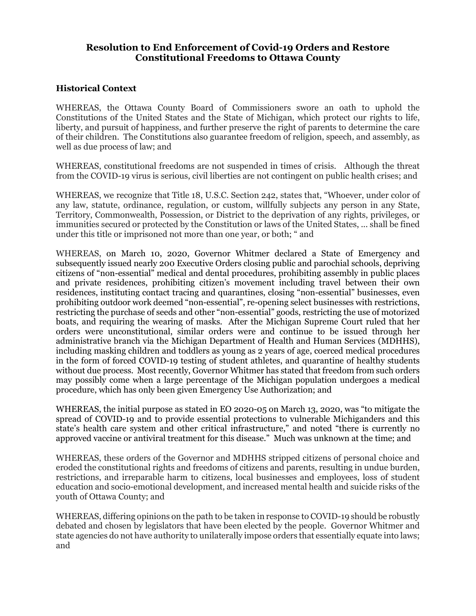## Resolution to End Enforcement of Covid-19 Orders and Restore Constitutional Freedoms to Ottawa County

## Historical Context

WHEREAS, the Ottawa County Board of Commissioners swore an oath to uphold the Constitutions of the United States and the State of Michigan, which protect our rights to life, liberty, and pursuit of happiness, and further preserve the right of parents to determine the care of their children. The Constitutions also guarantee freedom of religion, speech, and assembly, as well as due process of law; and

WHEREAS, constitutional freedoms are not suspended in times of crisis. Although the threat from the COVID-19 virus is serious, civil liberties are not contingent on public health crises; and

WHEREAS, we recognize that Title 18, U.S.C. Section 242, states that, "Whoever, under color of any law, statute, ordinance, regulation, or custom, willfully subjects any person in any State, Territory, Commonwealth, Possession, or District to the deprivation of any rights, privileges, or immunities secured or protected by the Constitution or laws of the United States, ... shall be fined under this title or imprisoned not more than one year, or both; " and

WHEREAS, on March 10, 2020, Governor Whitmer declared a State of Emergency and subsequently issued nearly 200 Executive Orders closing public and parochial schools, depriving citizens of "non-essential" medical and dental procedures, prohibiting assembly in public places and private residences, prohibiting citizen's movement including travel between their own residences, instituting contact tracing and quarantines, closing "non-essential" businesses, even prohibiting outdoor work deemed "non-essential", re-opening select businesses with restrictions, restricting the purchase of seeds and other "non-essential" goods, restricting the use of motorized boats, and requiring the wearing of masks. After the Michigan Supreme Court ruled that her orders were unconstitutional, similar orders were and continue to be issued through her administrative branch via the Michigan Department of Health and Human Services (MDHHS), including masking children and toddlers as young as 2 years of age, coerced medical procedures in the form of forced COVID-19 testing of student athletes, and quarantine of healthy students without due process. Most recently, Governor Whitmer has stated that freedom from such orders may possibly come when a large percentage of the Michigan population undergoes a medical procedure, which has only been given Emergency Use Authorization; and

WHEREAS, the initial purpose as stated in EO 2020-05 on March 13, 2020, was "to mitigate the spread of COVID-19 and to provide essential protections to vulnerable Michiganders and this state's health care system and other critical infrastructure," and noted "there is currently no approved vaccine or antiviral treatment for this disease." Much was unknown at the time; and

WHEREAS, these orders of the Governor and MDHHS stripped citizens of personal choice and eroded the constitutional rights and freedoms of citizens and parents, resulting in undue burden, restrictions, and irreparable harm to citizens, local businesses and employees, loss of student education and socio-emotional development, and increased mental health and suicide risks of the youth of Ottawa County; and

WHEREAS, differing opinions on the path to be taken in response to COVID-19 should be robustly debated and chosen by legislators that have been elected by the people. Governor Whitmer and state agencies do not have authority to unilaterally impose orders that essentially equate into laws; and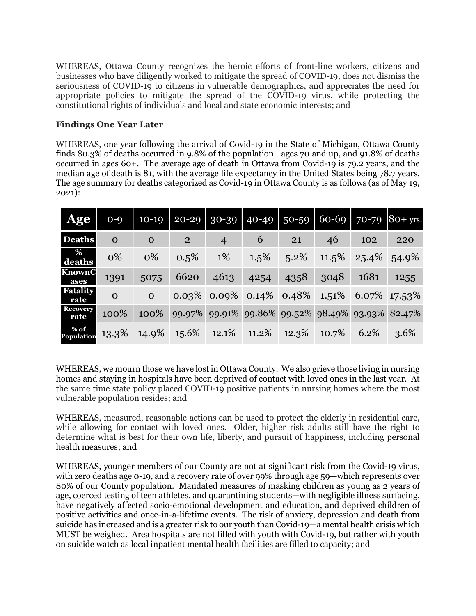WHEREAS, Ottawa County recognizes the heroic efforts of front-line workers, citizens and businesses who have diligently worked to mitigate the spread of COVID-19, does not dismiss the seriousness of COVID-19 to citizens in vulnerable demographics, and appreciates the need for appropriate policies to mitigate the spread of the COVID-19 virus, while protecting the constitutional rights of individuals and local and state economic interests; and

## Findings One Year Later

WHEREAS, one year following the arrival of Covid-19 in the State of Michigan, Ottawa County finds 80.3% of deaths occurred in 9.8% of the population—ages 70 and up, and 91.8% of deaths occurred in ages 60+. The average age of death in Ottawa from Covid-19 is 79.2 years, and the median age of death is 81, with the average life expectancy in the United States being 78.7 years. The age summary for deaths categorized as Covid-19 in Ottawa County is as follows (as of May 19, 2021):

| <b>Age</b>                | $O - Q$      |              | $10-19$ 20-29 30-39 40-49 50-59 60-69 70-79 80+ yrs.  |                |       |                                               |          |          |       |
|---------------------------|--------------|--------------|-------------------------------------------------------|----------------|-------|-----------------------------------------------|----------|----------|-------|
| <b>Deaths</b>             | $\mathbf{O}$ | $\mathbf{O}$ | $2^{\circ}$                                           | $\overline{4}$ | 6     | 21                                            | 46       | 102      | 220   |
| %<br>deaths               | 0%           | 0%           | 0.5%                                                  | 1%             | 1.5%  | 5.2%                                          | $11.5\%$ | $25.4\%$ | 54.9% |
| KnownC<br>ases            | 1391         | 5075         | 6620                                                  | 4613           | 4254  | 4358                                          | 3048     | 1681     | 1255  |
| <b>Fatality</b><br>rate   | $\mathbf{0}$ | $\mathbf{O}$ |                                                       |                |       | $0.03\%$ 0.09% 0.14% 0.48% 1.51% 6.07% 17.53% |          |          |       |
| <b>Recovery</b><br>rate   | 100%         |              | 100% 99.97% 99.91% 99.86% 99.52% 98.49% 93.93% 82.47% |                |       |                                               |          |          |       |
| % of<br><b>Population</b> | $13.3\%$     | 14.9%        | 15.6%                                                 | 12.1%          | 11.2% | 12.3%                                         | 10.7%    | 6.2%     | 3.6%  |

WHEREAS, we mourn those we have lost in Ottawa County. We also grieve those living in nursing homes and staying in hospitals have been deprived of contact with loved ones in the last year. At the same time state policy placed COVID-19 positive patients in nursing homes where the most vulnerable population resides; and

WHEREAS, measured, reasonable actions can be used to protect the elderly in residential care, while allowing for contact with loved ones. Older, higher risk adults still have the right to determine what is best for their own life, liberty, and pursuit of happiness, including personal health measures; and

WHEREAS, younger members of our County are not at significant risk from the Covid-19 virus, with zero deaths age 0-19, and a recovery rate of over 99% through age 59—which represents over 80% of our County population. Mandated measures of masking children as young as 2 years of age, coerced testing of teen athletes, and quarantining students—with negligible illness surfacing, have negatively affected socio-emotional development and education, and deprived children of positive activities and once-in-a-lifetime events. The risk of anxiety, depression and death from suicide has increased and is a greater risk to our youth than Covid-19—a mental health crisis which MUST be weighed. Area hospitals are not filled with youth with Covid-19, but rather with youth on suicide watch as local inpatient mental health facilities are filled to capacity; and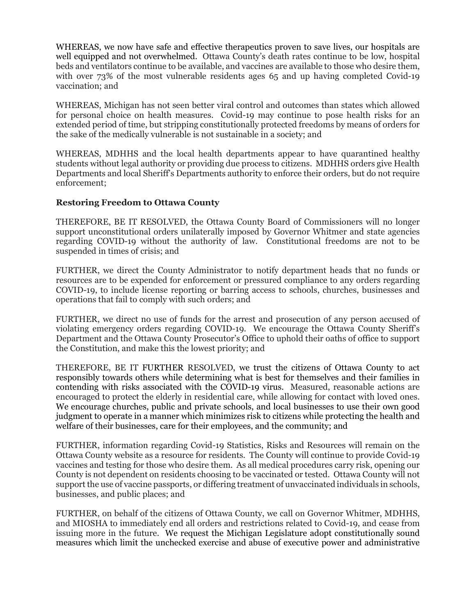WHEREAS, we now have safe and effective therapeutics proven to save lives, our hospitals are well equipped and not overwhelmed. Ottawa County's death rates continue to be low, hospital beds and ventilators continue to be available, and vaccines are available to those who desire them, with over 73% of the most vulnerable residents ages 65 and up having completed Covid-19 vaccination; and

WHEREAS, Michigan has not seen better viral control and outcomes than states which allowed for personal choice on health measures. Covid-19 may continue to pose health risks for an extended period of time, but stripping constitutionally protected freedoms by means of orders for the sake of the medically vulnerable is not sustainable in a society; and

WHEREAS, MDHHS and the local health departments appear to have quarantined healthy students without legal authority or providing due process to citizens. MDHHS orders give Health Departments and local Sheriff's Departments authority to enforce their orders, but do not require enforcement;

## Restoring Freedom to Ottawa County

THEREFORE, BE IT RESOLVED, the Ottawa County Board of Commissioners will no longer support unconstitutional orders unilaterally imposed by Governor Whitmer and state agencies regarding COVID-19 without the authority of law. Constitutional freedoms are not to be suspended in times of crisis; and

FURTHER, we direct the County Administrator to notify department heads that no funds or resources are to be expended for enforcement or pressured compliance to any orders regarding COVID-19, to include license reporting or barring access to schools, churches, businesses and operations that fail to comply with such orders; and

FURTHER, we direct no use of funds for the arrest and prosecution of any person accused of violating emergency orders regarding COVID-19. We encourage the Ottawa County Sheriff's Department and the Ottawa County Prosecutor's Office to uphold their oaths of office to support the Constitution, and make this the lowest priority; and

THEREFORE, BE IT FURTHER RESOLVED, we trust the citizens of Ottawa County to act responsibly towards others while determining what is best for themselves and their families in contending with risks associated with the COVID-19 virus. Measured, reasonable actions are encouraged to protect the elderly in residential care, while allowing for contact with loved ones. We encourage churches, public and private schools, and local businesses to use their own good judgment to operate in a manner which minimizes risk to citizens while protecting the health and welfare of their businesses, care for their employees, and the community; and

FURTHER, information regarding Covid-19 Statistics, Risks and Resources will remain on the Ottawa County website as a resource for residents. The County will continue to provide Covid-19 vaccines and testing for those who desire them. As all medical procedures carry risk, opening our County is not dependent on residents choosing to be vaccinated or tested. Ottawa County will not support the use of vaccine passports, or differing treatment of unvaccinated individuals in schools, businesses, and public places; and

FURTHER, on behalf of the citizens of Ottawa County, we call on Governor Whitmer, MDHHS, and MIOSHA to immediately end all orders and restrictions related to Covid-19, and cease from issuing more in the future. We request the Michigan Legislature adopt constitutionally sound measures which limit the unchecked exercise and abuse of executive power and administrative